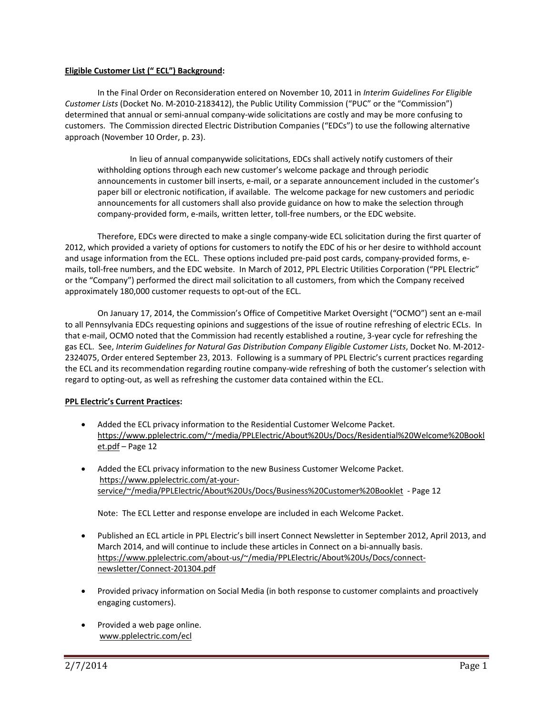## **Eligible Customer List (" ECL") Background:**

In the Final Order on Reconsideration entered on November 10, 2011 in *Interim Guidelines For Eligible Customer Lists* (Docket No. M‐2010‐2183412), the Public Utility Commission ("PUC" or the "Commission") determined that annual or semi‐annual company‐wide solicitations are costly and may be more confusing to customers. The Commission directed Electric Distribution Companies ("EDCs") to use the following alternative approach (November 10 Order, p. 23).

In lieu of annual companywide solicitations, EDCs shall actively notify customers of their withholding options through each new customer's welcome package and through periodic announcements in customer bill inserts, e‐mail, or a separate announcement included in the customer's paper bill or electronic notification, if available. The welcome package for new customers and periodic announcements for all customers shall also provide guidance on how to make the selection through company-provided form, e-mails, written letter, toll-free numbers, or the EDC website.

Therefore, EDCs were directed to make a single company‐wide ECL solicitation during the first quarter of 2012, which provided a variety of options for customers to notify the EDC of his or her desire to withhold account and usage information from the ECL. These options included pre-paid post cards, company-provided forms, emails, toll-free numbers, and the EDC website. In March of 2012, PPL Electric Utilities Corporation ("PPL Electric" or the "Company") performed the direct mail solicitation to all customers, from which the Company received approximately 180,000 customer requests to opt‐out of the ECL.

On January 17, 2014, the Commission's Office of Competitive Market Oversight ("OCMO") sent an e‐mail to all Pennsylvania EDCs requesting opinions and suggestions of the issue of routine refreshing of electric ECLs. In that e-mail, OCMO noted that the Commission had recently established a routine, 3-year cycle for refreshing the gas ECL. See, *Interim Guidelines for Natural Gas Distribution Company Eligible Customer Lists*, Docket No. M‐2012‐ 2324075, Order entered September 23, 2013. Following is a summary of PPL Electric's current practices regarding the ECL and its recommendation regarding routine company‐wide refreshing of both the customer's selection with regard to opting‐out, as well as refreshing the customer data contained within the ECL.

## **PPL Electric's Current Practices:**

- Added the ECL privacy information to the Residential Customer Welcome Packet. https://www.pplelectric.com/~/media/PPLElectric/About%20Us/Docs/Residential%20Welcome%20Bookl et.pdf – Page 12
- Added the ECL privacy information to the new Business Customer Welcome Packet. https://www.pplelectric.com/at‐your‐ service/~/media/PPLElectric/About%20Us/Docs/Business%20Customer%20Booklet ‐ Page 12

Note: The ECL Letter and response envelope are included in each Welcome Packet.

- Published an ECL article in PPL Electric's bill insert Connect Newsletter in September 2012, April 2013, and March 2014, and will continue to include these articles in Connect on a bi-annually basis. https://www.pplelectric.com/about‐us/~/media/PPLElectric/About%20Us/Docs/connect‐ newsletter/Connect‐201304.pdf
- Provided privacy information on Social Media (in both response to customer complaints and proactively engaging customers).
- Provided a web page online. www.pplelectric.com/ecl